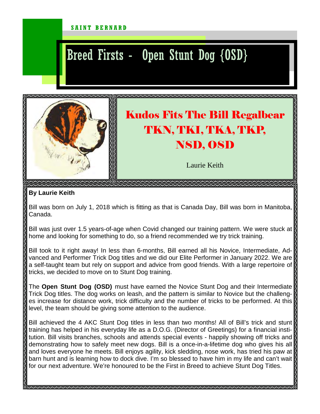## SAINT BERNARD

## Breed Firsts - Open Stunt Dog {OSD}



## **By Laurie Keith**

Bill was born on July 1, 2018 which is fitting as that is Canada Day, Bill was born in Manitoba, Canada.

Bill was just over 1.5 years-of-age when Covid changed our training pattern. We were stuck at home and looking for something to do, so a friend recommended we try trick training.

Bill took to it right away! In less than 6-months, Bill earned all his Novice, Intermediate, Advanced and Performer Trick Dog titles and we did our Elite Performer in January 2022. We are a self-taught team but rely on support and advice from good friends. With a large repertoire of tricks, we decided to move on to Stunt Dog training.

The **Open Stunt Dog (OSD)** must have earned the Novice Stunt Dog and their Intermediate Trick Dog titles. The dog works on leash, and the pattern is similar to Novice but the challenges increase for distance work, trick difficulty and the number of tricks to be performed. At this level, the team should be giving some attention to the audience.

Bill achieved the 4 AKC Stunt Dog titles in less than two months! All of Bill's trick and stunt training has helped in his everyday life as a D.O.G. (Director of Greetings) for a financial institution. Bill visits branches, schools and attends special events - happily showing off tricks and demonstrating how to safely meet new dogs. Bill is a once-in-a-lifetime dog who gives his all and loves everyone he meets. Bill enjoys agility, kick sledding, nose work, has tried his paw at barn hunt and is learning how to dock dive. I'm so blessed to have him in my life and can't wait for our next adventure. We're honoured to be the First in Breed to achieve Stunt Dog Titles.